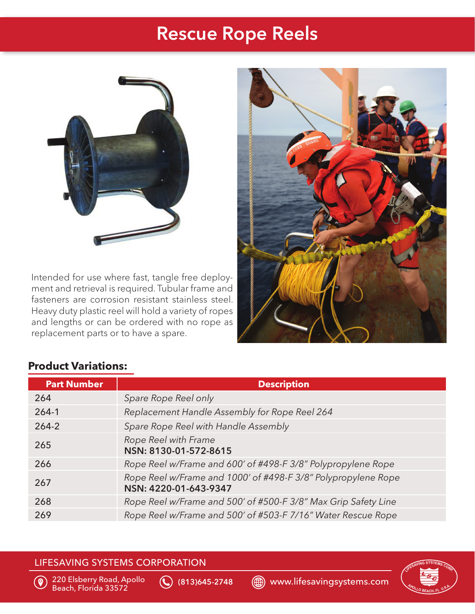## Rescue Rope Reels



Intended for use where fast, tangle free deployment and retrieval is required. Tubular frame and fasteners are corrosion resistant stainless steel. Heavy duty plastic reel will hold a variety of ropes and lengths or can be ordered with no rope as replacement parts or to have a spare.



## **Product Variations:**

| <b>Part Number</b> | <b>Description</b>                                                                     |
|--------------------|----------------------------------------------------------------------------------------|
| 264                | Spare Rope Reel only                                                                   |
| $264 - 1$          | Replacement Handle Assembly for Rope Reel 264                                          |
| $264 - 2$          | Spare Rope Reel with Handle Assembly                                                   |
| 265                | Rope Reel with Frame<br>NSN: 8130-01-572-8615                                          |
| 266                | Rope Reel w/Frame and 600' of #498-F 3/8" Polypropylene Rope                           |
| 267                | Rope Reel w/Frame and 1000' of #498-F 3/8" Polypropylene Rope<br>NSN: 4220-01-643-9347 |
| 268                | Rope Reel w/Frame and 500' of #500-F 3/8" Max Grip Safety Line                         |
| 269                | Rope Reel w/Frame and 500' of #503-F 7/16" Water Rescue Rope                           |

#### LIFESAVING SYSTEMS CORPORATION